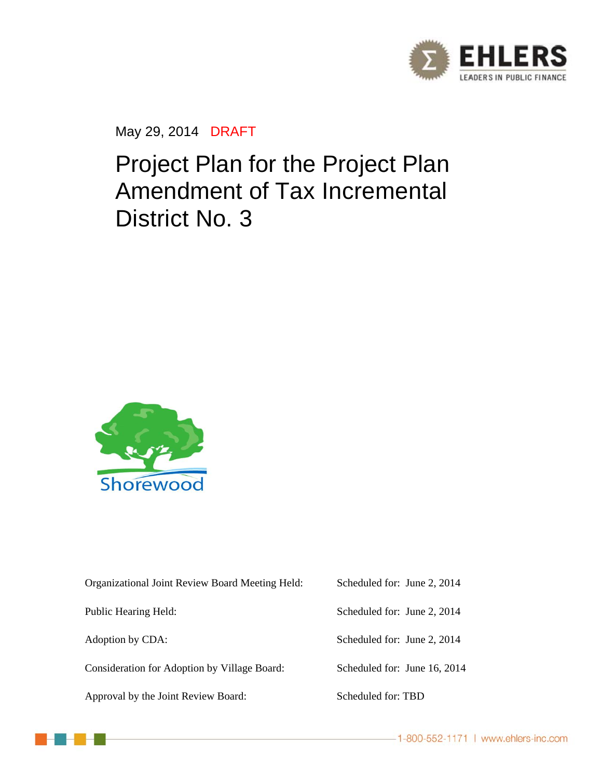

May 29, 2014 DRAFT

# Project Plan for the Project Plan Amendment of Tax Incremental District No. 3



| Organizational Joint Review Board Meeting Held: | Scheduled for: June 2, 2014  |
|-------------------------------------------------|------------------------------|
| Public Hearing Held:                            | Scheduled for: June 2, 2014  |
| Adoption by CDA:                                | Scheduled for: June 2, 2014  |
| Consideration for Adoption by Village Board:    | Scheduled for: June 16, 2014 |
| Approval by the Joint Review Board:             | Scheduled for: TBD           |



-1-800-552-1171 | www.ehlers-inc.com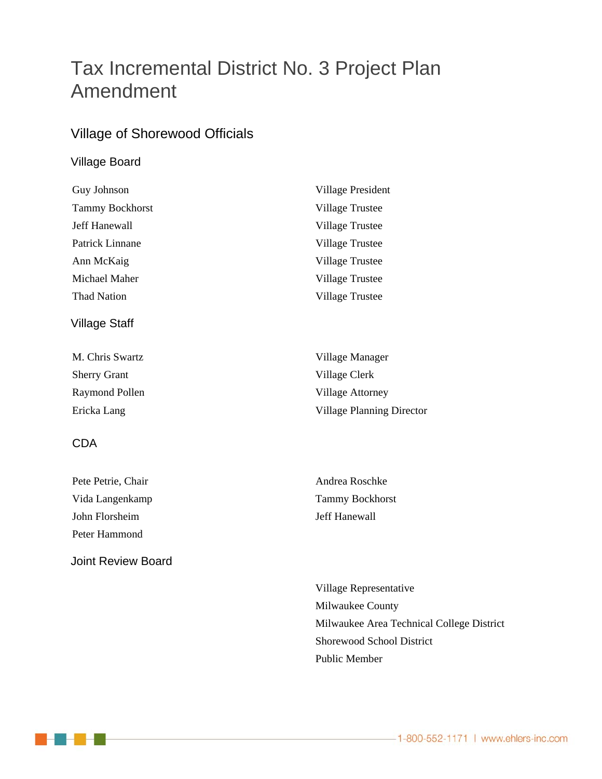## Tax Incremental District No. 3 Project Plan Amendment

### Village of Shorewood Officials

#### Village Board

| Guy Johnson            | Village President      |
|------------------------|------------------------|
| <b>Tammy Bockhorst</b> | <b>Village Trustee</b> |
| Jeff Hanewall          | <b>Village Trustee</b> |
| Patrick Linnane        | Village Trustee        |
| Ann McKaig             | Village Trustee        |
| Michael Maher          | Village Trustee        |
| <b>Thad Nation</b>     | Village Trustee        |
| Village Staff          |                        |
| M. Chris Swartz        | Village Manager        |
| <b>Sherry Grant</b>    | Village Clerk          |
|                        |                        |

Raymond Pollen Village Attorney Ericka Lang Village Planning Director

#### CDA

| Pete Petrie, Chair |
|--------------------|
| Vida Langenkamp    |
| John Florsheim     |
| Peter Hammond      |

Joint Review Board

Andrea Roschke Tammy Bockhorst Jeff Hanewall

 Village Representative Milwaukee County Milwaukee Area Technical College District Shorewood School District Public Member

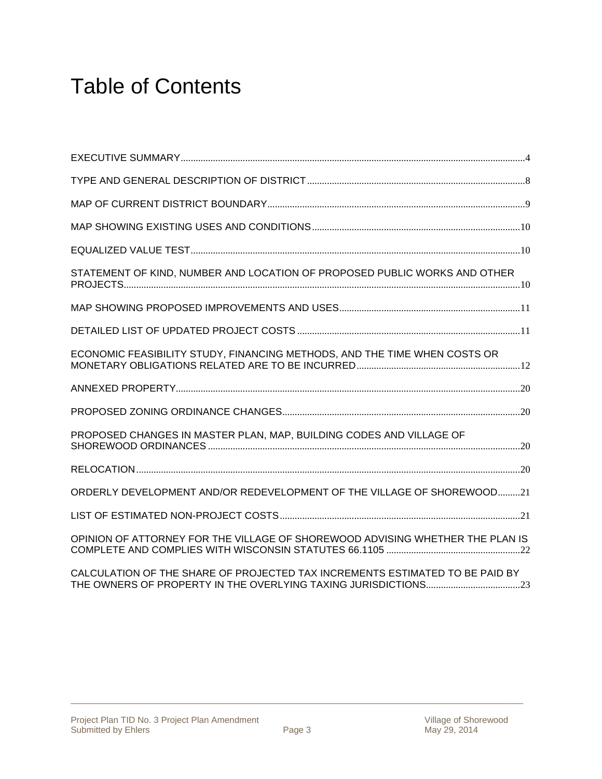# Table of Contents

| STATEMENT OF KIND, NUMBER AND LOCATION OF PROPOSED PUBLIC WORKS AND OTHER     |  |
|-------------------------------------------------------------------------------|--|
|                                                                               |  |
|                                                                               |  |
| ECONOMIC FEASIBILITY STUDY, FINANCING METHODS, AND THE TIME WHEN COSTS OR     |  |
|                                                                               |  |
|                                                                               |  |
| PROPOSED CHANGES IN MASTER PLAN, MAP, BUILDING CODES AND VILLAGE OF           |  |
|                                                                               |  |
| ORDERLY DEVELOPMENT AND/OR REDEVELOPMENT OF THE VILLAGE OF SHOREWOOD21        |  |
|                                                                               |  |
| OPINION OF ATTORNEY FOR THE VILLAGE OF SHOREWOOD ADVISING WHETHER THE PLAN IS |  |

CALCULATION OF THE SHARE OF PROJECTED TAX INCREMENTS ESTIMATED TO BE PAID BY THE OWNERS OF PROPERTY IN THE OVERLYING TAXING JURISDICTIONS ...................................... 23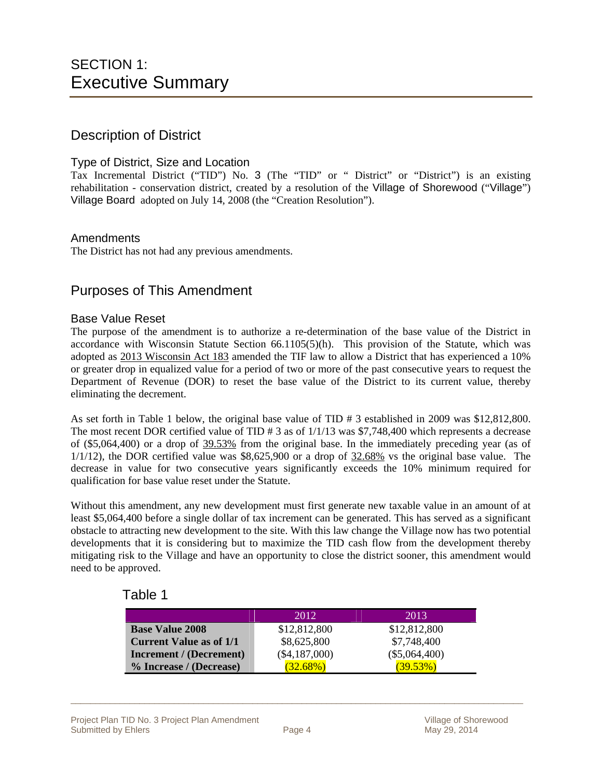#### Description of District

#### Type of District, Size and Location

Tax Incremental District ("TID") No. 3 (The "TID" or " District" or "District") is an existing rehabilitation - conservation district, created by a resolution of the Village of Shorewood ("Village") Village Board adopted on July 14, 2008 (the "Creation Resolution").

#### **Amendments**

The District has not had any previous amendments.

#### Purposes of This Amendment

#### Base Value Reset

The purpose of the amendment is to authorize a re-determination of the base value of the District in accordance with Wisconsin Statute Section  $66.1105(5)$ (h). This provision of the Statute, which was adopted as 2013 Wisconsin Act 183 amended the TIF law to allow a District that has experienced a 10% or greater drop in equalized value for a period of two or more of the past consecutive years to request the Department of Revenue (DOR) to reset the base value of the District to its current value, thereby eliminating the decrement.

As set forth in Table 1 below, the original base value of TID # 3 established in 2009 was \$12,812,800. The most recent DOR certified value of TID # 3 as of 1/1/13 was \$7,748,400 which represents a decrease of (\$5,064,400) or a drop of 39.53% from the original base. In the immediately preceding year (as of  $1/1/12$ ), the DOR certified value was \$8,625,900 or a drop of 32.68% vs the original base value. The decrease in value for two consecutive years significantly exceeds the 10% minimum required for qualification for base value reset under the Statute.

Without this amendment, any new development must first generate new taxable value in an amount of at least \$5,064,400 before a single dollar of tax increment can be generated. This has served as a significant obstacle to attracting new development to the site. With this law change the Village now has two potential developments that it is considering but to maximize the TID cash flow from the development thereby mitigating risk to the Village and have an opportunity to close the district sooner, this amendment would need to be approved.

#### Table 1

|                                | 2012            | 2013            |
|--------------------------------|-----------------|-----------------|
| <b>Base Value 2008</b>         | \$12,812,800    | \$12,812,800    |
| <b>Current Value as of 1/1</b> | \$8,625,800     | \$7,748,400     |
| <b>Increment</b> / (Decrement) | $(\$4,187,000)$ | $(\$5,064,400)$ |
| % Increase / (Decrease)        | $(32.68\%)$     | $(39.53\%)$     |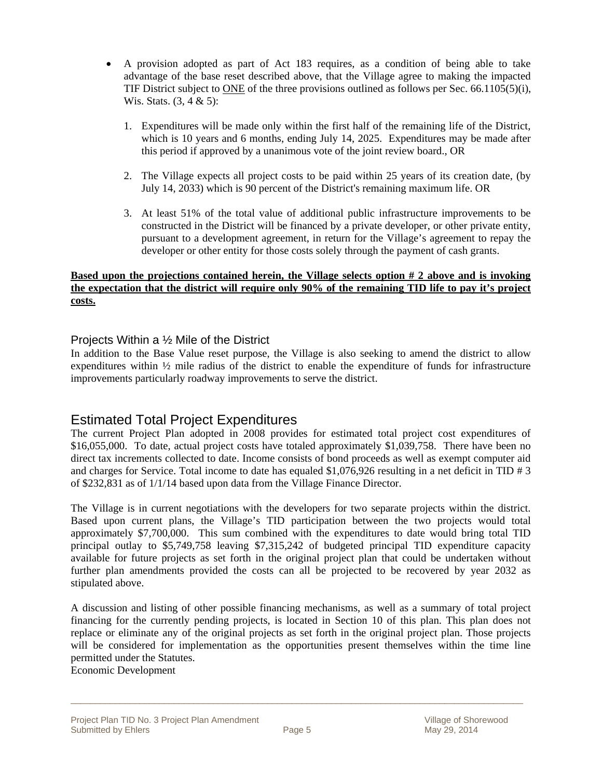- A provision adopted as part of Act 183 requires, as a condition of being able to take advantage of the base reset described above, that the Village agree to making the impacted TIF District subject to ONE of the three provisions outlined as follows per Sec. 66.1105(5)(i), Wis. Stats.  $(3, 4 \& 5)$ :
	- 1. Expenditures will be made only within the first half of the remaining life of the District, which is 10 years and 6 months, ending July 14, 2025. Expenditures may be made after this period if approved by a unanimous vote of the joint review board., OR
	- 2. The Village expects all project costs to be paid within 25 years of its creation date, (by July 14, 2033) which is 90 percent of the District's remaining maximum life. OR
	- 3. At least 51% of the total value of additional public infrastructure improvements to be constructed in the District will be financed by a private developer, or other private entity, pursuant to a development agreement, in return for the Village's agreement to repay the developer or other entity for those costs solely through the payment of cash grants.

#### **Based upon the projections contained herein, the Village selects option # 2 above and is invoking the expectation that the district will require only 90% of the remaining TID life to pay it's project costs.**

#### Projects Within a ½ Mile of the District

In addition to the Base Value reset purpose, the Village is also seeking to amend the district to allow expenditures within ½ mile radius of the district to enable the expenditure of funds for infrastructure improvements particularly roadway improvements to serve the district.

#### Estimated Total Project Expenditures

The current Project Plan adopted in 2008 provides for estimated total project cost expenditures of \$16,055,000. To date, actual project costs have totaled approximately \$1,039,758. There have been no direct tax increments collected to date. Income consists of bond proceeds as well as exempt computer aid and charges for Service. Total income to date has equaled \$1,076,926 resulting in a net deficit in TID # 3 of \$232,831 as of 1/1/14 based upon data from the Village Finance Director.

The Village is in current negotiations with the developers for two separate projects within the district. Based upon current plans, the Village's TID participation between the two projects would total approximately \$7,700,000. This sum combined with the expenditures to date would bring total TID principal outlay to \$5,749,758 leaving \$7,315,242 of budgeted principal TID expenditure capacity available for future projects as set forth in the original project plan that could be undertaken without further plan amendments provided the costs can all be projected to be recovered by year 2032 as stipulated above.

A discussion and listing of other possible financing mechanisms, as well as a summary of total project financing for the currently pending projects, is located in Section 10 of this plan. This plan does not replace or eliminate any of the original projects as set forth in the original project plan. Those projects will be considered for implementation as the opportunities present themselves within the time line permitted under the Statutes.

Economic Development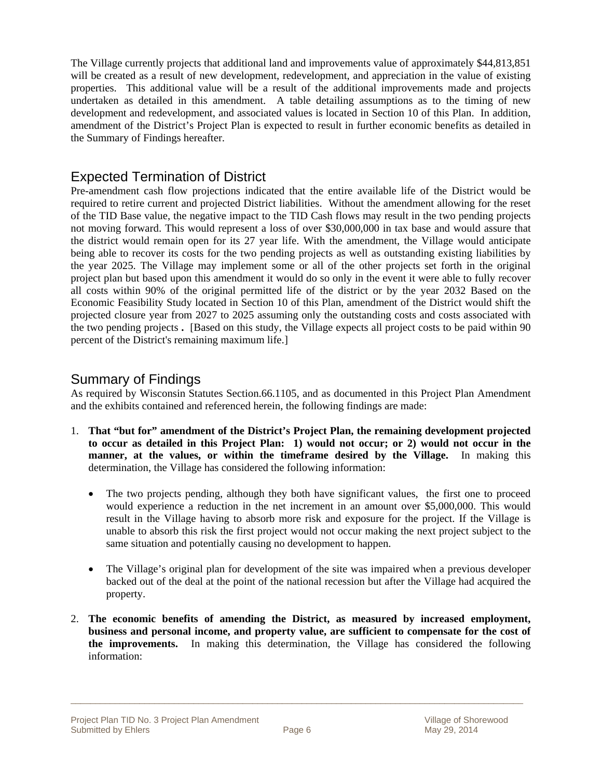The Village currently projects that additional land and improvements value of approximately \$44,813,851 will be created as a result of new development, redevelopment, and appreciation in the value of existing properties. This additional value will be a result of the additional improvements made and projects undertaken as detailed in this amendment. A table detailing assumptions as to the timing of new development and redevelopment, and associated values is located in Section 10 of this Plan. In addition, amendment of the District's Project Plan is expected to result in further economic benefits as detailed in the Summary of Findings hereafter.

#### Expected Termination of District

Pre-amendment cash flow projections indicated that the entire available life of the District would be required to retire current and projected District liabilities. Without the amendment allowing for the reset of the TID Base value, the negative impact to the TID Cash flows may result in the two pending projects not moving forward. This would represent a loss of over \$30,000,000 in tax base and would assure that the district would remain open for its 27 year life. With the amendment, the Village would anticipate being able to recover its costs for the two pending projects as well as outstanding existing liabilities by the year 2025. The Village may implement some or all of the other projects set forth in the original project plan but based upon this amendment it would do so only in the event it were able to fully recover all costs within 90% of the original permitted life of the district or by the year 2032 Based on the Economic Feasibility Study located in Section 10 of this Plan, amendment of the District would shift the projected closure year from 2027 to 2025 assuming only the outstanding costs and costs associated with the two pending projects **.** [Based on this study, the Village expects all project costs to be paid within 90 percent of the District's remaining maximum life.]

#### Summary of Findings

As required by Wisconsin Statutes Section.66.1105, and as documented in this Project Plan Amendment and the exhibits contained and referenced herein, the following findings are made:

- 1. **That "but for" amendment of the District's Project Plan, the remaining development projected to occur as detailed in this Project Plan: 1) would not occur; or 2) would not occur in the manner, at the values, or within the timeframe desired by the Village.** In making this determination, the Village has considered the following information:
	- The two projects pending, although they both have significant values, the first one to proceed would experience a reduction in the net increment in an amount over \$5,000,000. This would result in the Village having to absorb more risk and exposure for the project. If the Village is unable to absorb this risk the first project would not occur making the next project subject to the same situation and potentially causing no development to happen.
	- The Village's original plan for development of the site was impaired when a previous developer backed out of the deal at the point of the national recession but after the Village had acquired the property.
- 2. **The economic benefits of amending the District, as measured by increased employment, business and personal income, and property value, are sufficient to compensate for the cost of the improvements.** In making this determination, the Village has considered the following information: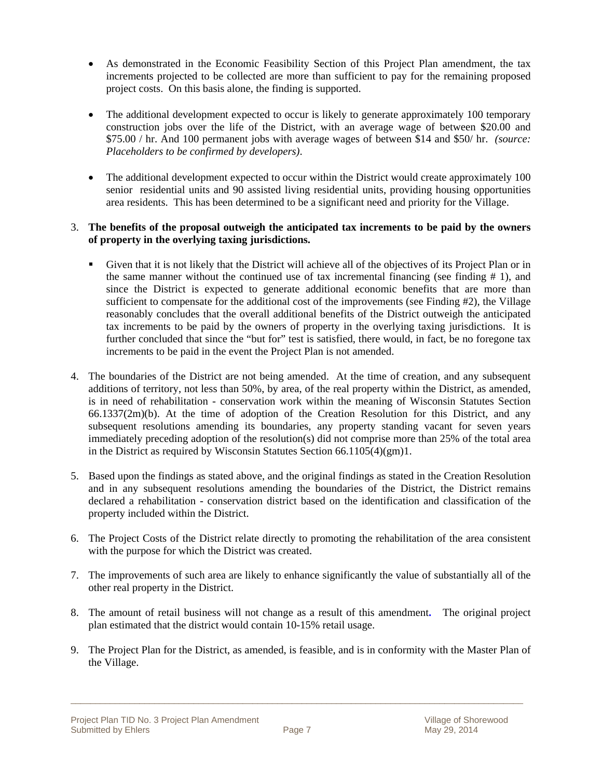- As demonstrated in the Economic Feasibility Section of this Project Plan amendment, the tax increments projected to be collected are more than sufficient to pay for the remaining proposed project costs. On this basis alone, the finding is supported.
- The additional development expected to occur is likely to generate approximately 100 temporary construction jobs over the life of the District, with an average wage of between \$20.00 and \$75.00 / hr. And 100 permanent jobs with average wages of between \$14 and \$50/ hr. *(source: Placeholders to be confirmed by developers)*.
- The additional development expected to occur within the District would create approximately 100 senior residential units and 90 assisted living residential units, providing housing opportunities area residents. This has been determined to be a significant need and priority for the Village.

#### 3. **The benefits of the proposal outweigh the anticipated tax increments to be paid by the owners of property in the overlying taxing jurisdictions.**

- Given that it is not likely that the District will achieve all of the objectives of its Project Plan or in the same manner without the continued use of tax incremental financing (see finding  $# 1$ ), and since the District is expected to generate additional economic benefits that are more than sufficient to compensate for the additional cost of the improvements (see Finding #2), the Village reasonably concludes that the overall additional benefits of the District outweigh the anticipated tax increments to be paid by the owners of property in the overlying taxing jurisdictions. It is further concluded that since the "but for" test is satisfied, there would, in fact, be no foregone tax increments to be paid in the event the Project Plan is not amended.
- 4. The boundaries of the District are not being amended. At the time of creation, and any subsequent additions of territory, not less than 50%, by area, of the real property within the District, as amended, is in need of rehabilitation - conservation work within the meaning of Wisconsin Statutes Section 66.1337(2m)(b). At the time of adoption of the Creation Resolution for this District, and any subsequent resolutions amending its boundaries, any property standing vacant for seven years immediately preceding adoption of the resolution(s) did not comprise more than 25% of the total area in the District as required by Wisconsin Statutes Section 66.1105(4)(gm)1.
- 5. Based upon the findings as stated above, and the original findings as stated in the Creation Resolution and in any subsequent resolutions amending the boundaries of the District, the District remains declared a rehabilitation - conservation district based on the identification and classification of the property included within the District.
- 6. The Project Costs of the District relate directly to promoting the rehabilitation of the area consistent with the purpose for which the District was created.
- 7. The improvements of such area are likely to enhance significantly the value of substantially all of the other real property in the District.
- 8. The amount of retail business will not change as a result of this amendment**.** The original project plan estimated that the district would contain 10-15% retail usage.
- 9. The Project Plan for the District, as amended, is feasible, and is in conformity with the Master Plan of the Village.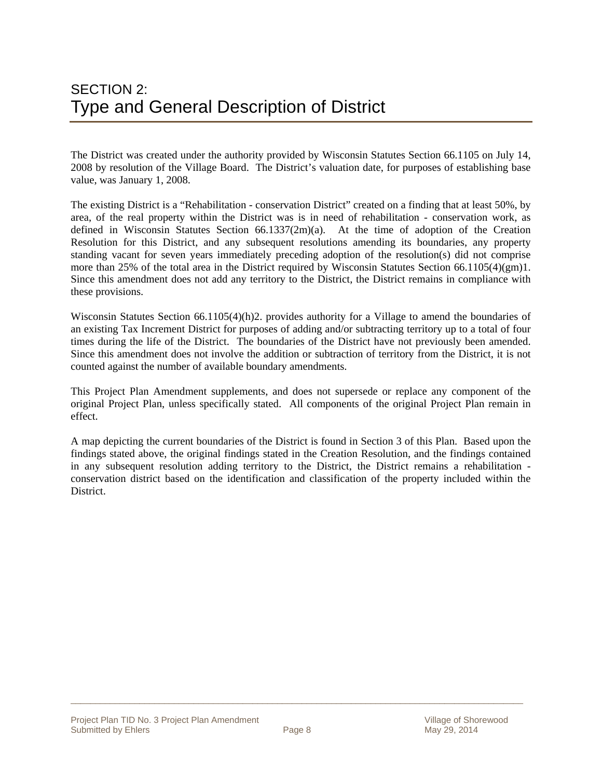The District was created under the authority provided by Wisconsin Statutes Section 66.1105 on July 14, 2008 by resolution of the Village Board. The District's valuation date, for purposes of establishing base value, was January 1, 2008.

The existing District is a "Rehabilitation - conservation District" created on a finding that at least 50%, by area, of the real property within the District was is in need of rehabilitation - conservation work, as defined in Wisconsin Statutes Section 66.1337(2m)(a). At the time of adoption of the Creation Resolution for this District, and any subsequent resolutions amending its boundaries, any property standing vacant for seven years immediately preceding adoption of the resolution(s) did not comprise more than 25% of the total area in the District required by Wisconsin Statutes Section 66.1105(4)(gm)1. Since this amendment does not add any territory to the District, the District remains in compliance with these provisions.

Wisconsin Statutes Section 66.1105(4)(h)2. provides authority for a Village to amend the boundaries of an existing Tax Increment District for purposes of adding and/or subtracting territory up to a total of four times during the life of the District. The boundaries of the District have not previously been amended. Since this amendment does not involve the addition or subtraction of territory from the District, it is not counted against the number of available boundary amendments.

This Project Plan Amendment supplements, and does not supersede or replace any component of the original Project Plan, unless specifically stated. All components of the original Project Plan remain in effect.

A map depicting the current boundaries of the District is found in Section 3 of this Plan. Based upon the findings stated above, the original findings stated in the Creation Resolution, and the findings contained in any subsequent resolution adding territory to the District, the District remains a rehabilitation conservation district based on the identification and classification of the property included within the District.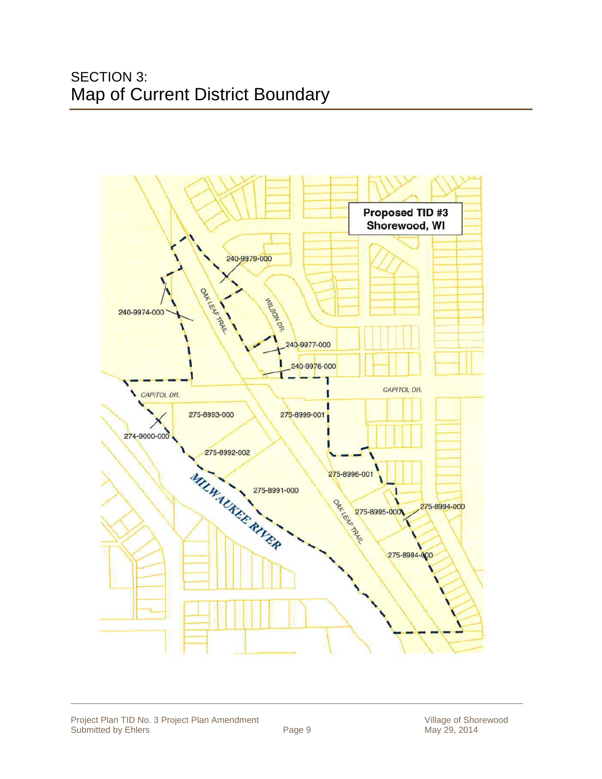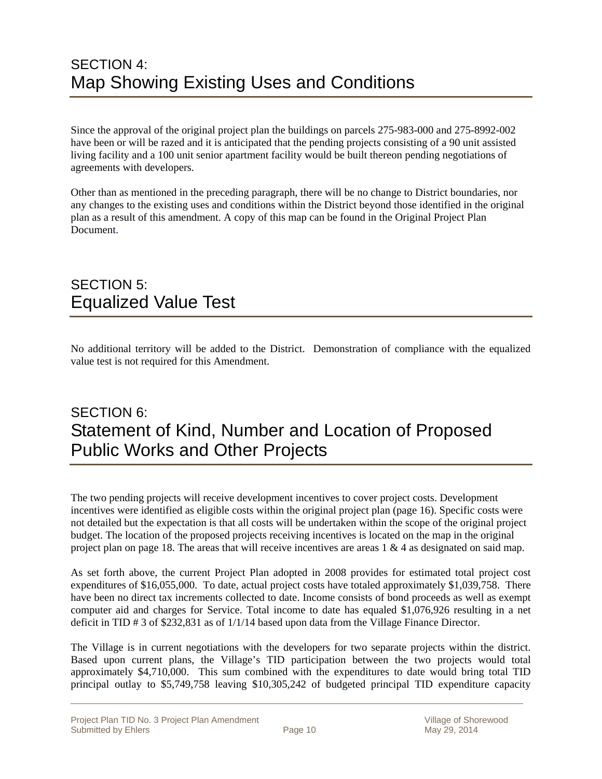### SECTION 4: Map Showing Existing Uses and Conditions

Since the approval of the original project plan the buildings on parcels 275-983-000 and 275-8992-002 have been or will be razed and it is anticipated that the pending projects consisting of a 90 unit assisted living facility and a 100 unit senior apartment facility would be built thereon pending negotiations of agreements with developers.

Other than as mentioned in the preceding paragraph, there will be no change to District boundaries, nor any changes to the existing uses and conditions within the District beyond those identified in the original plan as a result of this amendment. A copy of this map can be found in the Original Project Plan Document.

### SECTION 5: Equalized Value Test

No additional territory will be added to the District. Demonstration of compliance with the equalized value test is not required for this Amendment.

### SECTION 6: Statement of Kind, Number and Location of Proposed Public Works and Other Projects

The two pending projects will receive development incentives to cover project costs. Development incentives were identified as eligible costs within the original project plan (page 16). Specific costs were not detailed but the expectation is that all costs will be undertaken within the scope of the original project budget. The location of the proposed projects receiving incentives is located on the map in the original project plan on page 18. The areas that will receive incentives are areas  $1 \& 4$  as designated on said map.

As set forth above, the current Project Plan adopted in 2008 provides for estimated total project cost expenditures of \$16,055,000. To date, actual project costs have totaled approximately \$1,039,758. There have been no direct tax increments collected to date. Income consists of bond proceeds as well as exempt computer aid and charges for Service. Total income to date has equaled \$1,076,926 resulting in a net deficit in TID # 3 of \$232,831 as of 1/1/14 based upon data from the Village Finance Director.

The Village is in current negotiations with the developers for two separate projects within the district. Based upon current plans, the Village's TID participation between the two projects would total approximately \$4,710,000. This sum combined with the expenditures to date would bring total TID principal outlay to \$5,749,758 leaving \$10,305,242 of budgeted principal TID expenditure capacity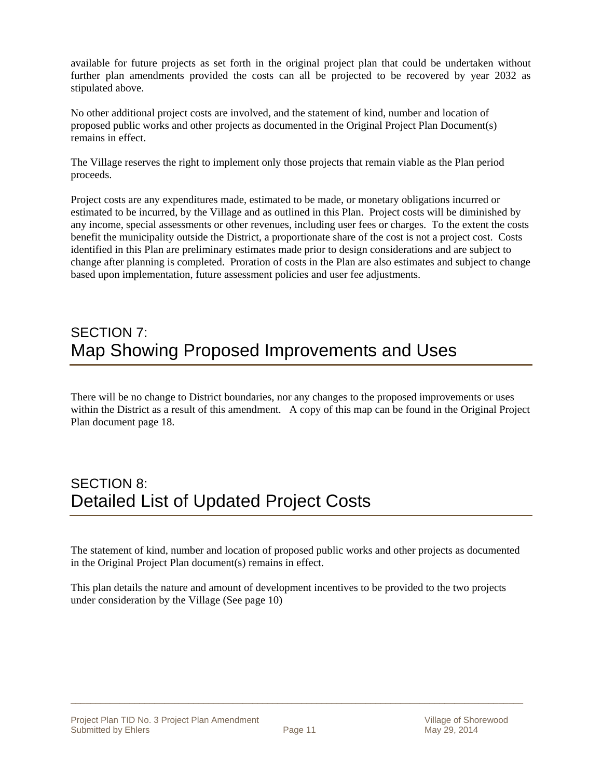available for future projects as set forth in the original project plan that could be undertaken without further plan amendments provided the costs can all be projected to be recovered by year 2032 as stipulated above.

No other additional project costs are involved, and the statement of kind, number and location of proposed public works and other projects as documented in the Original Project Plan Document(s) remains in effect.

The Village reserves the right to implement only those projects that remain viable as the Plan period proceeds.

Project costs are any expenditures made, estimated to be made, or monetary obligations incurred or estimated to be incurred, by the Village and as outlined in this Plan. Project costs will be diminished by any income, special assessments or other revenues, including user fees or charges. To the extent the costs benefit the municipality outside the District, a proportionate share of the cost is not a project cost. Costs identified in this Plan are preliminary estimates made prior to design considerations and are subject to change after planning is completed. Proration of costs in the Plan are also estimates and subject to change based upon implementation, future assessment policies and user fee adjustments.

### SECTION 7: Map Showing Proposed Improvements and Uses

There will be no change to District boundaries, nor any changes to the proposed improvements or uses within the District as a result of this amendment. A copy of this map can be found in the Original Project Plan document page 18.

### SECTION 8: Detailed List of Updated Project Costs

The statement of kind, number and location of proposed public works and other projects as documented in the Original Project Plan document(s) remains in effect.

This plan details the nature and amount of development incentives to be provided to the two projects under consideration by the Village (See page 10)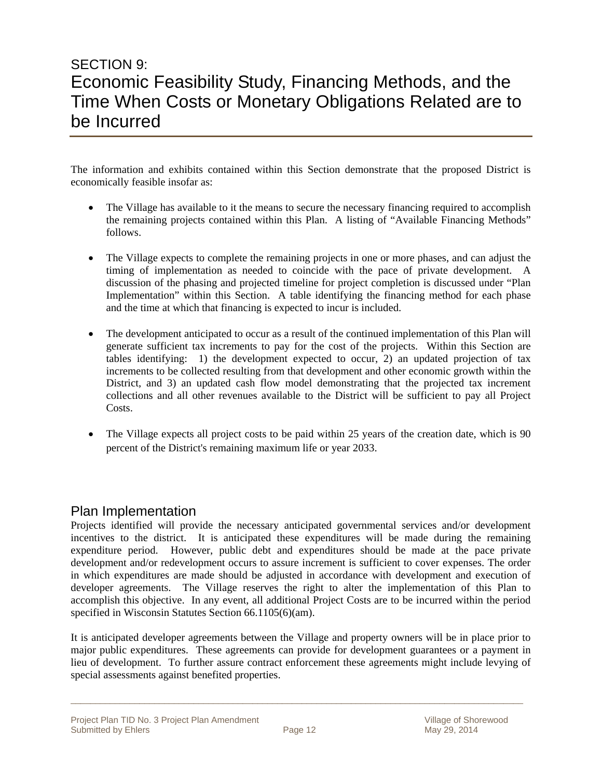### SECTION 9: Economic Feasibility Study, Financing Methods, and the Time When Costs or Monetary Obligations Related are to be Incurred

The information and exhibits contained within this Section demonstrate that the proposed District is economically feasible insofar as:

- The Village has available to it the means to secure the necessary financing required to accomplish the remaining projects contained within this Plan. A listing of "Available Financing Methods" follows.
- The Village expects to complete the remaining projects in one or more phases, and can adjust the timing of implementation as needed to coincide with the pace of private development. A discussion of the phasing and projected timeline for project completion is discussed under "Plan Implementation" within this Section. A table identifying the financing method for each phase and the time at which that financing is expected to incur is included.
- The development anticipated to occur as a result of the continued implementation of this Plan will generate sufficient tax increments to pay for the cost of the projects. Within this Section are tables identifying: 1) the development expected to occur, 2) an updated projection of tax increments to be collected resulting from that development and other economic growth within the District, and 3) an updated cash flow model demonstrating that the projected tax increment collections and all other revenues available to the District will be sufficient to pay all Project Costs.
- The Village expects all project costs to be paid within 25 years of the creation date, which is 90 percent of the District's remaining maximum life or year 2033.

#### Plan Implementation

Projects identified will provide the necessary anticipated governmental services and/or development incentives to the district. It is anticipated these expenditures will be made during the remaining expenditure period. However, public debt and expenditures should be made at the pace private development and/or redevelopment occurs to assure increment is sufficient to cover expenses. The order in which expenditures are made should be adjusted in accordance with development and execution of developer agreements. The Village reserves the right to alter the implementation of this Plan to accomplish this objective. In any event, all additional Project Costs are to be incurred within the period specified in Wisconsin Statutes Section 66.1105(6)(am).

It is anticipated developer agreements between the Village and property owners will be in place prior to major public expenditures. These agreements can provide for development guarantees or a payment in lieu of development. To further assure contract enforcement these agreements might include levying of special assessments against benefited properties.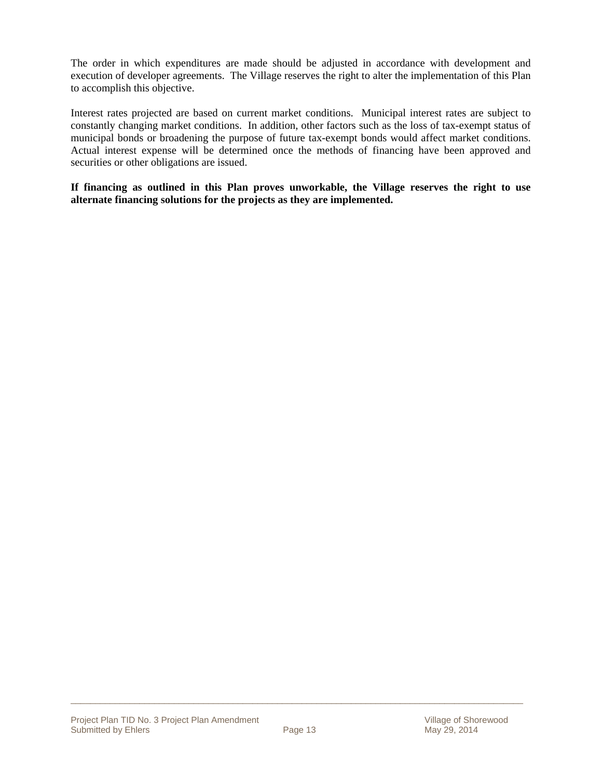The order in which expenditures are made should be adjusted in accordance with development and execution of developer agreements. The Village reserves the right to alter the implementation of this Plan to accomplish this objective.

Interest rates projected are based on current market conditions. Municipal interest rates are subject to constantly changing market conditions. In addition, other factors such as the loss of tax-exempt status of municipal bonds or broadening the purpose of future tax-exempt bonds would affect market conditions. Actual interest expense will be determined once the methods of financing have been approved and securities or other obligations are issued.

**If financing as outlined in this Plan proves unworkable, the Village reserves the right to use alternate financing solutions for the projects as they are implemented.**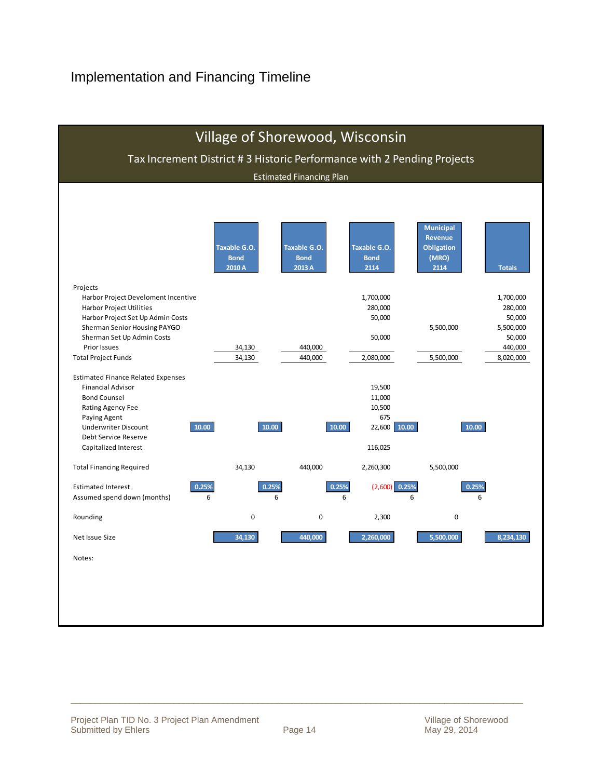### Implementation and Financing Timeline

| Village of Shorewood, Wisconsin<br>Tax Increment District #3 Historic Performance with 2 Pending Projects |                                 |                       |                      |                                    |                      |  |  |  |  |  |  |  |  |  |
|-----------------------------------------------------------------------------------------------------------|---------------------------------|-----------------------|----------------------|------------------------------------|----------------------|--|--|--|--|--|--|--|--|--|
|                                                                                                           | <b>Estimated Financing Plan</b> |                       |                      |                                    |                      |  |  |  |  |  |  |  |  |  |
|                                                                                                           |                                 |                       |                      |                                    |                      |  |  |  |  |  |  |  |  |  |
|                                                                                                           |                                 |                       |                      |                                    |                      |  |  |  |  |  |  |  |  |  |
|                                                                                                           |                                 |                       |                      |                                    |                      |  |  |  |  |  |  |  |  |  |
|                                                                                                           |                                 |                       |                      | <b>Municipal</b><br><b>Revenue</b> |                      |  |  |  |  |  |  |  |  |  |
|                                                                                                           | <b>Taxable G.O.</b>             | <b>Taxable G.O.</b>   | <b>Taxable G.O.</b>  | <b>Obligation</b>                  |                      |  |  |  |  |  |  |  |  |  |
|                                                                                                           | <b>Bond</b><br>2010 A           | <b>Bond</b><br>2013 A | <b>Bond</b><br>2114  | (MRO)<br>2114                      | <b>Totals</b>        |  |  |  |  |  |  |  |  |  |
|                                                                                                           |                                 |                       |                      |                                    |                      |  |  |  |  |  |  |  |  |  |
| Projects                                                                                                  |                                 |                       |                      |                                    |                      |  |  |  |  |  |  |  |  |  |
| Harbor Project Develoment Incentive<br>Harbor Project Utilities                                           |                                 |                       | 1,700,000<br>280,000 |                                    | 1,700,000<br>280,000 |  |  |  |  |  |  |  |  |  |
| Harbor Project Set Up Admin Costs                                                                         |                                 |                       | 50,000               |                                    | 50,000               |  |  |  |  |  |  |  |  |  |
| Sherman Senior Housing PAYGO                                                                              |                                 |                       |                      | 5,500,000                          | 5,500,000            |  |  |  |  |  |  |  |  |  |
| Sherman Set Up Admin Costs<br><b>Prior Issues</b>                                                         | 34,130                          | 440,000               | 50,000               |                                    | 50,000<br>440,000    |  |  |  |  |  |  |  |  |  |
| <b>Total Project Funds</b>                                                                                | 34,130                          | 440,000               | 2,080,000            | 5,500,000                          | 8,020,000            |  |  |  |  |  |  |  |  |  |
|                                                                                                           |                                 |                       |                      |                                    |                      |  |  |  |  |  |  |  |  |  |
| <b>Estimated Finance Related Expenses</b><br><b>Financial Advisor</b>                                     |                                 |                       | 19,500               |                                    |                      |  |  |  |  |  |  |  |  |  |
| <b>Bond Counsel</b>                                                                                       |                                 |                       | 11,000               |                                    |                      |  |  |  |  |  |  |  |  |  |
| Rating Agency Fee                                                                                         |                                 |                       | 10,500               |                                    |                      |  |  |  |  |  |  |  |  |  |
| Paying Agent                                                                                              |                                 |                       | 675                  |                                    |                      |  |  |  |  |  |  |  |  |  |
| 10.00<br><b>Underwriter Discount</b><br>Debt Service Reserve                                              | 10.00                           | 10.00                 | 10.00<br>22,600      | 10.00                              |                      |  |  |  |  |  |  |  |  |  |
| Capitalized Interest                                                                                      |                                 |                       | 116,025              |                                    |                      |  |  |  |  |  |  |  |  |  |
|                                                                                                           |                                 |                       |                      |                                    |                      |  |  |  |  |  |  |  |  |  |
| <b>Total Financing Required</b>                                                                           | 34,130                          | 440,000               | 2,260,300            | 5,500,000                          |                      |  |  |  |  |  |  |  |  |  |
| 0.25%<br><b>Estimated Interest</b>                                                                        | 0.25%                           | 0.25%                 | $(2,600)$ 0.25%      | 0.25%                              |                      |  |  |  |  |  |  |  |  |  |
| Assumed spend down (months)                                                                               | 6                               | 6                     | 6                    | 6                                  | 6                    |  |  |  |  |  |  |  |  |  |
| Rounding                                                                                                  | 0                               | $\mathbf 0$           | 2,300                | $\mathbf 0$                        |                      |  |  |  |  |  |  |  |  |  |
| Net Issue Size                                                                                            | 34.130                          | 440.000               | 2.260.000            | 5,500,000                          | 8.234.130            |  |  |  |  |  |  |  |  |  |
| Notes:                                                                                                    |                                 |                       |                      |                                    |                      |  |  |  |  |  |  |  |  |  |
|                                                                                                           |                                 |                       |                      |                                    |                      |  |  |  |  |  |  |  |  |  |
|                                                                                                           |                                 |                       |                      |                                    |                      |  |  |  |  |  |  |  |  |  |
|                                                                                                           |                                 |                       |                      |                                    |                      |  |  |  |  |  |  |  |  |  |
|                                                                                                           |                                 |                       |                      |                                    |                      |  |  |  |  |  |  |  |  |  |
|                                                                                                           |                                 |                       |                      |                                    |                      |  |  |  |  |  |  |  |  |  |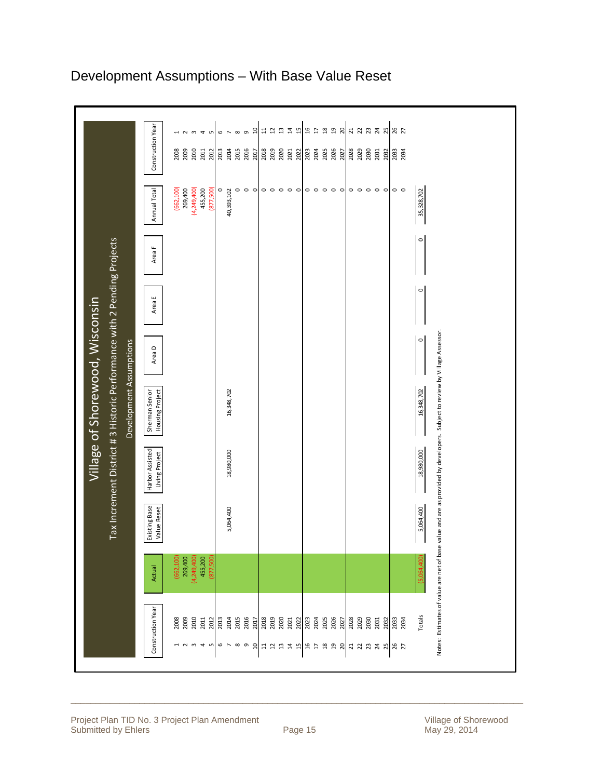|                                                                        |                                   | m <sub>4</sub><br>1<br>$\sim$<br>S                             | å<br>$\infty$<br>$\sigma$<br>6<br>$\mathord{\sim}$                            | $\mathfrak{u}$<br>$\overline{a}$<br>$\Xi$<br>$\overline{u}$<br>$\overline{1}$ | $\mathfrak{g}$<br>$\mathfrak{g}_1$<br>$\overline{\mathbf{3}}$<br>ន $\overline{a}$<br>$\overline{\mathfrak{u}}$ | 7777987                                                                                                                                                |                                                                                                                                     |
|------------------------------------------------------------------------|-----------------------------------|----------------------------------------------------------------|-------------------------------------------------------------------------------|-------------------------------------------------------------------------------|----------------------------------------------------------------------------------------------------------------|--------------------------------------------------------------------------------------------------------------------------------------------------------|-------------------------------------------------------------------------------------------------------------------------------------|
|                                                                        | Construction Year                 | 2009<br>2010<br>2011<br>2008<br>2012                           | 2014<br>2016<br>2013<br>2015<br>2017                                          | 2019<br>2020<br>2018<br>2021<br>2022                                          | 2025<br>2026<br>2023<br>2024<br>2027                                                                           | 2028<br>2029<br>2030<br>2031<br>2032<br>2033<br>2034                                                                                                   |                                                                                                                                     |
|                                                                        |                                   |                                                                |                                                                               |                                                                               |                                                                                                                |                                                                                                                                                        |                                                                                                                                     |
|                                                                        | Annual Total                      | (662, 100)<br>(4, 249, 400)<br>269,400<br>455,200<br>(877,500) | $\circ$<br>$\circ$<br>$\circ$<br>$\circ$<br>40,393,102                        | $\circ\circ\circ\circ\circ$                                                   | $\circ \circ \circ \circ \circ$                                                                                | $\circ \circ \circ \circ \circ \circ$<br>$\circ$ $\circ$                                                                                               | 35, 328, 702                                                                                                                        |
| Tax Increment District #3 Historic Performance with 2 Pending Projects | Area F                            |                                                                |                                                                               |                                                                               |                                                                                                                |                                                                                                                                                        | $\circ$                                                                                                                             |
|                                                                        |                                   |                                                                |                                                                               |                                                                               |                                                                                                                |                                                                                                                                                        | $\circ$                                                                                                                             |
|                                                                        | Area E                            |                                                                |                                                                               |                                                                               |                                                                                                                |                                                                                                                                                        |                                                                                                                                     |
|                                                                        |                                   |                                                                |                                                                               |                                                                               |                                                                                                                |                                                                                                                                                        | $\circ$                                                                                                                             |
|                                                                        | Area D                            |                                                                |                                                                               |                                                                               |                                                                                                                |                                                                                                                                                        |                                                                                                                                     |
| Development Assumptions                                                |                                   |                                                                | 16,348,702                                                                    |                                                                               |                                                                                                                |                                                                                                                                                        | 16,348,702                                                                                                                          |
|                                                                        | Sherman Senior<br>Housing Project |                                                                |                                                                               |                                                                               |                                                                                                                |                                                                                                                                                        |                                                                                                                                     |
| Village of Shorewood, Wisconsin                                        |                                   |                                                                |                                                                               |                                                                               |                                                                                                                |                                                                                                                                                        |                                                                                                                                     |
|                                                                        | Harbor Assisted<br>Living Project |                                                                | 18,980,000                                                                    |                                                                               |                                                                                                                |                                                                                                                                                        | 18,980,000                                                                                                                          |
|                                                                        |                                   |                                                                |                                                                               |                                                                               |                                                                                                                |                                                                                                                                                        |                                                                                                                                     |
|                                                                        | Existing Base<br>Value Reset      |                                                                | 5,064,400                                                                     |                                                                               |                                                                                                                |                                                                                                                                                        | 5,064,400                                                                                                                           |
|                                                                        |                                   | 455,200<br>(877,500)<br>(662, 100)<br>269,400                  |                                                                               |                                                                               |                                                                                                                |                                                                                                                                                        |                                                                                                                                     |
|                                                                        | Actual                            | (4, 249, 400)                                                  |                                                                               |                                                                               |                                                                                                                |                                                                                                                                                        |                                                                                                                                     |
|                                                                        |                                   |                                                                |                                                                               |                                                                               |                                                                                                                |                                                                                                                                                        | Notes: Estimates of value are net of base value and are as provided by developers. Subject to review by Village Assessor.<br>Totals |
|                                                                        | Construction Year                 | 2009<br>2010<br>2011<br>2012<br>2008<br><b>HNW45678</b>        | 2016<br>2013<br>2014<br>2015<br>2017<br>$\sigma$<br>$\overline{\mathfrak{a}}$ | 2019<br>2018<br>2020<br>2021<br>2022<br><b>HHHHH</b>                          | 2023<br>2025<br>2026<br>2024<br>2027<br>$\begin{array}{cc} 4 & 2 \\ 3 & 4 \end{array}$<br>$\Xi$                | 2028<br>2029<br>2030<br>2031<br>2032<br>2033<br>2034<br>$\begin{array}{c} 22 \\ 23 \\ 24 \\ 25 \\ 26 \\ \end{array}$<br>$\overline{2}$<br><b>25</b> 25 |                                                                                                                                     |
|                                                                        |                                   |                                                                |                                                                               |                                                                               |                                                                                                                |                                                                                                                                                        |                                                                                                                                     |

### Development Assumptions – With Base Value Reset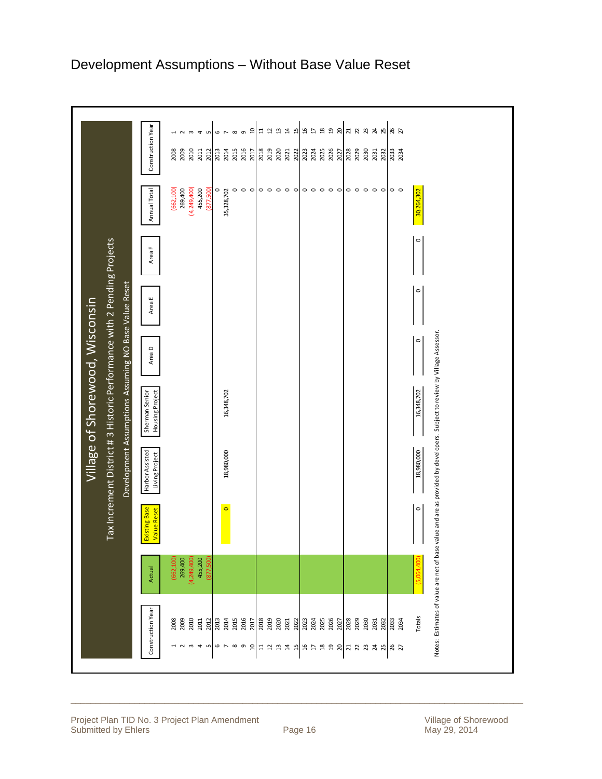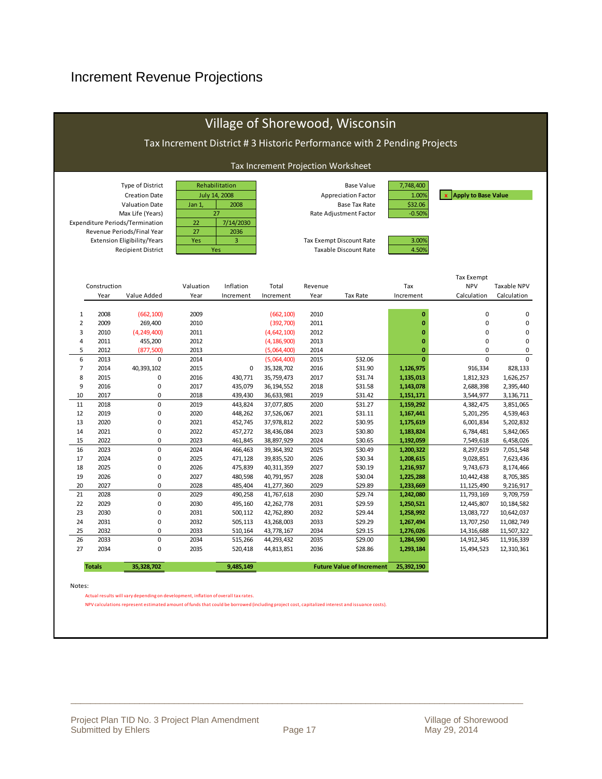### Increment Revenue Projections

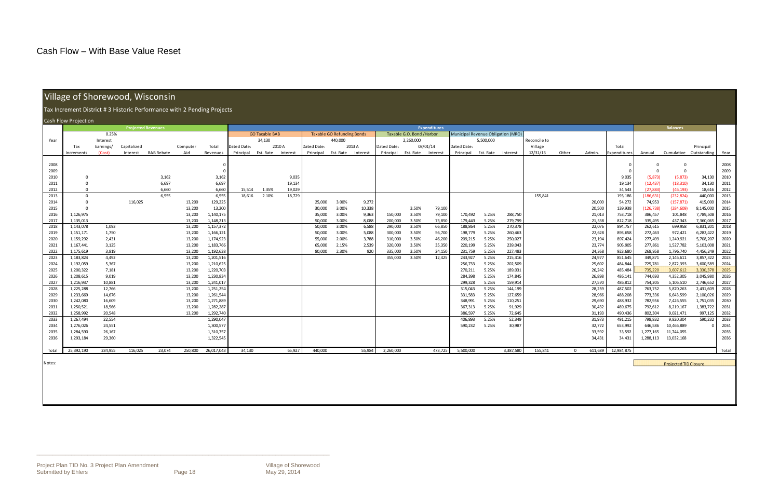$\Box$  . The contribution of the contribution of the contribution of the contribution of the contribution of the contribution of the contribution of the contribution of the contribution of the contribution of the contributi

### Village of Shorewood, Wisconsin

|              | <b>Transport of Short Wood, Wisconship</b>                              |                |                           |                   |                  |                        |             |                       |          |                  |                                   |              |                    |                           |                     |                                    |                |                    |              |          |                  |                    |                    |                              |                        |              |  |
|--------------|-------------------------------------------------------------------------|----------------|---------------------------|-------------------|------------------|------------------------|-------------|-----------------------|----------|------------------|-----------------------------------|--------------|--------------------|---------------------------|---------------------|------------------------------------|----------------|--------------------|--------------|----------|------------------|--------------------|--------------------|------------------------------|------------------------|--------------|--|
|              | Tax Increment District # 3 Historic Performance with 2 Pending Projects |                |                           |                   |                  |                        |             |                       |          |                  |                                   |              |                    |                           |                     |                                    |                |                    |              |          |                  |                    |                    |                              |                        |              |  |
|              | Cash Flow Projection                                                    |                |                           |                   |                  |                        |             |                       |          |                  |                                   |              |                    |                           |                     |                                    |                |                    |              |          |                  |                    |                    |                              |                        |              |  |
|              |                                                                         |                | <b>Projected Revenues</b> |                   |                  |                        |             |                       |          |                  |                                   |              |                    |                           | <b>Expenditures</b> |                                    |                |                    |              |          |                  |                    | <b>Balances</b>    |                              |                        |              |  |
|              |                                                                         | 0.25%          |                           |                   |                  |                        |             | <b>GO Taxable BAB</b> |          |                  | <b>Taxable GO Refunding Bonds</b> |              |                    | Taxable G.O. Bond /Harbor |                     | Municipal Revenue Obligation (MRO) |                |                    |              |          |                  |                    |                    |                              |                        |              |  |
| Year         |                                                                         | Interest       |                           |                   |                  |                        |             | 34,130                |          |                  | 440,000                           |              |                    | 2,260,000                 |                     |                                    | 5,500,000      |                    | Reconcile to |          |                  |                    |                    |                              |                        |              |  |
|              | Tax                                                                     | Earnings/      | Capitalized               |                   | Computer         | Total                  | Dated Date: |                       | 2010 A   | Dated Date:      |                                   | 2013 A       | Dated Date:        |                           | 08/01/14            | Dated Date:                        |                |                    | Village      |          |                  | Total              |                    |                              | Principal              |              |  |
|              | Increments                                                              | (Cost)         | Interest                  | <b>BAB Rebate</b> | Aid              | Revenues               | Principal   | Est. Rate             | Interest | Principal        | Est. Rate                         | Interest     | Principal          | Est. Rate Interest        |                     | Principal                          | Est. Rate      | Interest           | 12/31/13     | Other    | Admin.           | Expenditures       | Annual             | Cumulative Outstanding       |                        | Year         |  |
|              |                                                                         |                |                           |                   |                  |                        |             |                       |          |                  |                                   |              |                    |                           |                     |                                    |                |                    |              |          |                  |                    |                    |                              |                        |              |  |
| 2008         |                                                                         |                |                           |                   |                  |                        |             |                       |          |                  |                                   |              |                    |                           |                     |                                    |                |                    |              |          |                  |                    |                    | $\Omega$                     |                        | 2008         |  |
| 2009         |                                                                         |                |                           |                   |                  |                        |             |                       |          |                  |                                   |              |                    |                           |                     |                                    |                |                    |              |          |                  |                    | $\Omega$           | $\mathbf 0$                  |                        | 2009         |  |
| 2010         | $\mathbf 0$                                                             |                |                           | 3,162             |                  | 3,162                  |             |                       | 9,035    |                  |                                   |              |                    |                           |                     |                                    |                |                    |              |          |                  | 9,035              | (5, 873)           | (5, 873)                     | 34,130                 | 2010         |  |
| 2011         | $\Omega$                                                                |                |                           | 6,697             |                  | 6,697                  |             |                       | 19,134   |                  |                                   |              |                    |                           |                     |                                    |                |                    |              |          |                  | 19,134             | (12, 437)          | (18, 310)                    | 34,130                 | 2011         |  |
| 2012         | $\Omega$                                                                |                |                           | 6.660             |                  | 6,660                  | 15,514      | 1.35%                 | 19,029   |                  |                                   |              |                    |                           |                     |                                    |                |                    |              |          |                  | 34,543             | (27, 883)          | (46, 193)                    | 18,616                 | 2012         |  |
| 2013         | $\Omega$                                                                |                |                           | 6,555             |                  | 6,555                  | 18,616      | 2.10%                 | 18,729   |                  |                                   |              |                    |                           |                     |                                    |                |                    | 155,841      |          |                  | 193,186            | (186, 631)         | (232, 824)                   | 440,000                | 2013         |  |
| 2014         | $\Omega$                                                                |                | 116,025                   |                   | 13,200           | 129,225                |             |                       |          | 25,000           | 3.00%                             | 9,272        |                    |                           |                     |                                    |                |                    |              |          | 20,000           | 54,272             | 74,953             | (157, 871)                   | 415,000                | 2014         |  |
| 2015         | $\Omega$                                                                |                |                           |                   | 13,200           | 13,200                 |             |                       |          | 30,000           | 3.00%                             | 10,338       |                    | 3.50%                     | 79,100              |                                    |                |                    |              |          | 20,500           | 139,938            | (126, 738)         | (284, 609)                   | 8,145,000              | 2015         |  |
| 2016         | 1,126,975                                                               |                |                           |                   | 13,200           | 1,140,175              |             |                       |          | 35,000           | 3.00%                             | 9,363        | 150,000            | 3.50%                     | 79,100              | 170,492                            | 5.25%          | 288,750            |              |          | 21,013           | 753,718            | 386,457            | 101,848                      | 7,789,508              | 2016         |  |
| 2017         | 1,135,013                                                               |                |                           |                   | 13,200           | 1,148,213              |             |                       |          | 50.000           | 3.00%                             | 8.088        | 200,000            | 3.50%                     | 73,850              | 179,443                            | 5.25%          | 279,799            |              |          | 21,538           | 812,718            | 335,495            | 437,343                      | 7,360,065              | 2017         |  |
| 2018         | 1,143,078                                                               | 1,093          |                           |                   | 13,200           | 1,157,372              |             |                       |          | 50,000           | 3.00%                             | 6,588        | 290,000            | 3.50%                     | 66,850              | 188,864                            | 5.25%          | 270,378            |              |          | 22,076           | 894,757            | 262,615            | 699,958                      | 6,831,201              | 2018         |  |
| 2019         | 1,151,171                                                               | 1,750          |                           |                   | 13,200           | 1,166,121              |             |                       |          | 50,000           | 3.00%                             | 5,088        | 300,000            | 3.50%                     | 56,700              | 198,779                            | 5.25%          | 260,463            |              |          | 22,628           | 893,658            | 272,463            | 972,421                      | 6,282,422              | 2019         |  |
| 2020         | 1,159,292                                                               | 2,431          |                           |                   | 13,200<br>13,200 | 1,174,923<br>1,183,766 |             |                       |          | 55,000           | 2.00%<br>2.15%                    | 3,788        | 310,000            | 3.50%                     | 46,200              | 209,215                            | 5.25%          | 250,027<br>239,043 |              |          | 23,194           | 897,424            | 277,499            | 1,249,921<br>1,527,782       | 5,708,207<br>5,103,008 | 2020<br>2021 |  |
| 2021<br>2022 | 1,167,441<br>1,175,619                                                  | 3,125<br>3,819 |                           |                   | 13,200           | 1,192,638              |             |                       |          | 65,000<br>80,000 | 2.30%                             | 2,539<br>920 | 320,000<br>335,000 | 3.50%<br>3.50%            | 35,350<br>24,150    | 220,199<br>231,759                 | 5.25%<br>5.25% | 227,483            |              |          | 23,774<br>24,368 | 905,905<br>923,680 | 277,861<br>268,958 | 1,796,740                    | 4,456,249              | 2022         |  |
| 2023         | 1,183,824                                                               | 4,492          |                           |                   | 13,200           | 1,201,516              |             |                       |          |                  |                                   |              | 355,000            | 3.50%                     | 12,425              | 243,927                            | 5.25%          | 215,316            |              |          | 24,977           | 851,645            | 349,871            | 2,146,611                    | 3,857,322              | 2023         |  |
| 2024         | 1,192,059                                                               | 5,367          |                           |                   | 13,200           | 1,210,625              |             |                       |          |                  |                                   |              |                    |                           |                     | 256,733                            | 5.25%          | 202,509            |              |          | 25,602           | 484,844            | 725,781            | 2,872,393                    | 3,600,589              | 2024         |  |
| 2025         | 1,200,322                                                               | 7,181          |                           |                   | 13,200           | 1,220,703              |             |                       |          |                  |                                   |              |                    |                           |                     | 270,211                            | 5.25%          | 189,031            |              |          | 26,242           | 485,484            | 735,220            | 3,607,612                    | 3,330,378              | 2025         |  |
| 2026         | 1,208,615                                                               | 9,019          |                           |                   | 13,200           | 1,230,834              |             |                       |          |                  |                                   |              |                    |                           |                     | 284,398                            | 5.25%          | 174,845            |              |          | 26,898           | 486,141            | 744,693            | 4,352,305                    | 3,045,980              | 2026         |  |
| 2027         | 1,216,937                                                               | 10,881         |                           |                   | 13,200           | 1,241,017              |             |                       |          |                  |                                   |              |                    |                           |                     | 299,328                            | 5.25%          | 159,914            |              |          | 27,570           | 486,812            | 754,205            | 5,106,510                    | 2,746,652              | 2027         |  |
| 2028         | 1,225,288                                                               | 12,766         |                           |                   | 13,200           | 1,251,254              |             |                       |          |                  |                                   |              |                    |                           |                     | 315,043                            | 5.25%          | 144,199            |              |          | 28,259           | 487,502            | 763,752            | 5,870,263                    | 2,431,609              | 2028         |  |
| 2029         | 1,233,669                                                               | 14,676         |                           |                   | 13,200           | 1,261,544              |             |                       |          |                  |                                   |              |                    |                           |                     | 331,583                            | 5.25%          | 127,659            |              |          | 28,966           | 488,208            | 773,336            | 6,643,599                    | 2,100,026              | 2029         |  |
| 2030         | 1,242,080                                                               | 16,609         |                           |                   | 13,200           | 1,271,889              |             |                       |          |                  |                                   |              |                    |                           |                     | 348,991                            | 5.25%          | 110,251            |              |          | 29,690           | 488,932            | 782,956            | 7,426,555                    | 1,751,035              | 2030         |  |
| 2031         | 1,250,521                                                               | 18,566         |                           |                   | 13,200           | 1,282,287              |             |                       |          |                  |                                   |              |                    |                           |                     | 367,313                            | 5.25%          | 91,929             |              |          | 30,432           | 489,675            | 792,612            | 8,219,167                    | 1,383,722              | 2031         |  |
| 2032         | 1,258,992                                                               | 20,548         |                           |                   | 13,200           | 1,292,740              |             |                       |          |                  |                                   |              |                    |                           |                     | 386.597                            | 5.25%          | 72,645             |              |          | 31,193           | 490,436            | 802,304            | 9,021,471                    | 997,125                | 2032         |  |
| 2033         | 1,267,494                                                               | 22,554         |                           |                   |                  | 1,290,047              |             |                       |          |                  |                                   |              |                    |                           |                     | 406,893                            | 5.25%          | 52,349             |              |          | 31,973           | 491,215            | 798,832            | 9,820,304                    | 590,232                | 2033         |  |
| 2034         | 1,276,026                                                               | 24,551         |                           |                   |                  | 1,300,577              |             |                       |          |                  |                                   |              |                    |                           |                     | 590,232                            | 5.25%          | 30,987             |              |          | 32,772           | 653,992            | 646,586            | 10,466,889                   |                        | 2034         |  |
| 2035         | 1,284,590                                                               | 26,167         |                           |                   |                  | 1,310,757              |             |                       |          |                  |                                   |              |                    |                           |                     |                                    |                |                    |              |          | 33,592           | 33,592             | 1,277,165          | 11,744,055                   |                        | 2035         |  |
| 2036         | 1,293,184                                                               | 29,360         |                           |                   |                  | 1,322,545              |             |                       |          |                  |                                   |              |                    |                           |                     |                                    |                |                    |              |          | 34,431           | 34,431             | 1,288,113          | 13,032,168                   |                        | 2036         |  |
| Total        | 25,392,190                                                              | 234,955        | 116,025                   | 23,074            | 250,800          | 26,017,043             | 34,130      |                       | 65,927   | 440,000          |                                   | 55,984       | 2,260,000          |                           | 473,725             | 5,500,000                          |                | 3,387,580          | 155,841      | $\Omega$ | 611,689          | 12,984,875         |                    |                              |                        | Total        |  |
|              |                                                                         |                |                           |                   |                  |                        |             |                       |          |                  |                                   |              |                    |                           |                     |                                    |                |                    |              |          |                  |                    |                    |                              |                        |              |  |
| Notes:       |                                                                         |                |                           |                   |                  |                        |             |                       |          |                  |                                   |              |                    |                           |                     |                                    |                |                    |              |          |                  |                    |                    | <b>Projected TID Closure</b> |                        |              |  |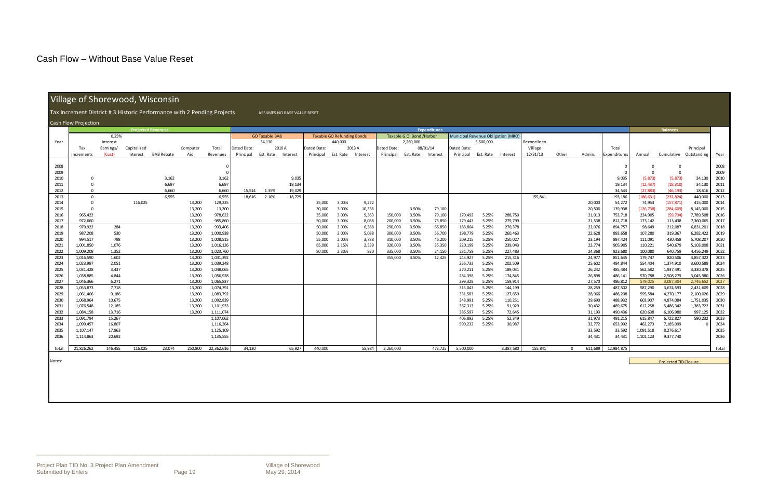$\Box$  . The contribution of the contribution of the contribution of the contribution of the contribution of the contribution of the contribution of the contribution of the contribution of the contribution of the contributi

## Village of Shorewood, Wisconsin

|              | Tax Increment District # 3 Historic Performance with 2 Pending Projects<br>ASSUMES NO BASE VALUE RESET |                |             |                           |                  |                        |             |                       |          |                  |                                   |              |                    |                           |                     |                                           |                |                    |              |          |                  |                     |                    |                              |                        |              |
|--------------|--------------------------------------------------------------------------------------------------------|----------------|-------------|---------------------------|------------------|------------------------|-------------|-----------------------|----------|------------------|-----------------------------------|--------------|--------------------|---------------------------|---------------------|-------------------------------------------|----------------|--------------------|--------------|----------|------------------|---------------------|--------------------|------------------------------|------------------------|--------------|
|              | Cash Flow Projection                                                                                   |                |             |                           |                  |                        |             |                       |          |                  |                                   |              |                    |                           |                     |                                           |                |                    |              |          |                  |                     |                    |                              |                        |              |
|              |                                                                                                        |                |             | <b>Projected Revenues</b> |                  |                        |             |                       |          |                  |                                   |              |                    |                           | <b>Expenditures</b> |                                           |                |                    |              |          |                  |                     | <b>Balances</b>    |                              |                        |              |
|              |                                                                                                        | 0.25%          |             |                           |                  |                        |             | <b>GO Taxable BAB</b> |          |                  | <b>Taxable GO Refunding Bonds</b> |              |                    | Taxable G.O. Bond /Harbor |                     | <b>Municipal Revenue Obligation (MRO)</b> |                |                    |              |          |                  |                     |                    |                              |                        |              |
| Year         |                                                                                                        | Interest       |             |                           |                  |                        |             | 34,130                |          |                  | 440,000                           |              |                    | 2,260,000                 |                     |                                           | 5,500,000      |                    | Reconcile to |          |                  |                     |                    |                              |                        |              |
|              | Tax                                                                                                    | Earnings/      | Capitalized |                           | Computer         | Total                  | Dated Date: |                       | 2010 A   | Dated Date:      |                                   | 2013 A       | Dated Date:        |                           | 08/01/14            | Dated Date:                               |                |                    | Village      |          |                  | Total               |                    |                              | Principal              |              |
|              | ncrements                                                                                              | (Cost)         | Interest    | <b>BAB Rebate</b>         | Aid              | Revenues               | Principal   | Est. Rate             | Interest | Principal        | Est. Rate                         | Interest     | Principal          | Est. Rate                 | Interest            | Principal                                 | Est. Rate      | Interest           | 12/31/13     | Other    | Admin.           | <b>Expenditures</b> | Annual             | Cumulative Outstanding       |                        | Year         |
| 2008         |                                                                                                        |                |             |                           |                  |                        |             |                       |          |                  |                                   |              |                    |                           |                     |                                           |                |                    |              |          |                  |                     | $\Omega$           |                              |                        | 2008         |
| 2009         |                                                                                                        |                |             |                           |                  | $\Omega$               |             |                       |          |                  |                                   |              |                    |                           |                     |                                           |                |                    |              |          |                  |                     | $\Omega$           | $\Omega$                     |                        | 2009         |
| 2010         | $\overline{0}$                                                                                         |                |             | 3,162                     |                  | 3,162                  |             |                       | 9,035    |                  |                                   |              |                    |                           |                     |                                           |                |                    |              |          |                  | 9,035               | (5, 873)           | (5, 873)                     | 34,130                 | 2010         |
| 2011         | $\Omega$                                                                                               |                |             | 6,697                     |                  | 6,697                  |             |                       | 19,134   |                  |                                   |              |                    |                           |                     |                                           |                |                    |              |          |                  | 19,134              | (12, 437)          | (18, 310)                    | 34,130                 | 2011         |
| 2012         | $\Omega$                                                                                               |                |             | 6.660                     |                  | 6.660                  | 15.514      | 1.35%                 | 19.029   |                  |                                   |              |                    |                           |                     |                                           |                |                    |              |          |                  | 34.543              | (27.883)           | (46.193)                     | 18,616                 | 2012         |
| 2013         | $\overline{\mathbf{0}}$                                                                                |                |             | 6,555                     |                  | 6,555                  | 18,616      | 2.10%                 | 18,729   |                  |                                   |              |                    |                           |                     |                                           |                |                    | 155,841      |          |                  | 193,186             | (186, 631)         | (232, 824)                   | 440,000                | 2013         |
| 2014         | $\overline{\mathbf{0}}$                                                                                |                | 116,025     |                           | 13,200           | 129,225                |             |                       |          | 25,000           | 3.00%                             | 9,272        |                    |                           |                     |                                           |                |                    |              |          | 20,000           | 54,272              | 74,953             | (157, 871)                   | 415,000                | 2014         |
| 2015         | $\Omega$                                                                                               |                |             |                           | 13,200           | 13,200                 |             |                       |          | 30.000           | 3.00%                             | 10,338       |                    | 3.50%                     | 79,100              |                                           |                |                    |              |          | 20,500           | 139,938             | (126, 738)         | (284, 609)                   | 8,145,000              | 2015         |
| 2016         | 965,422                                                                                                |                |             |                           | 13,200           | 978,622                |             |                       |          | 35,000           | 3.00%                             | 9,363        | 150,000            | 3.50%                     | 79,100              | 170,492                                   | 5.25%          | 288,750            |              |          | 21,013           | 753,718             | 224,905            | (59, 704)                    | 7,789,508              | 2016         |
| 2017         | 972,660                                                                                                |                |             |                           | 13,200           | 985,860                |             |                       |          | 50.000           | 3.00%                             | 8,088        | 200,000            | 3.50%                     | 73,850              | 179,443                                   | 5.25%          | 279,799            |              |          | 21,538           | 812,718             | 173,142            | 113,438                      | 7,360,065              | 2017         |
| 2018         | 979,922                                                                                                | 284            |             |                           | 13,200           | 993,406                |             |                       |          | 50,000           | 3.00%                             | 6,588        | 290,000            | 3.50%                     | 66,850              | 188,864                                   | 5.25%          | 270,378            |              |          | 22,076           | 894,757             | 98,649             | 212,087                      | 6,831,201              | 2018         |
| 2019         | 987,208                                                                                                | 530            |             |                           | 13,200           | 1,000,938              |             |                       |          | 50,000           | 3.00%                             | 5,088        | 300,000            | 3.50%                     | 56,700              | 198,779                                   | 5.25%          | 260,463            |              |          | 22,628           | 893,658             | 107,280            | 319,367                      | 6,282,422              | 2019         |
| 2020         | 994,517                                                                                                | 798            |             |                           | 13,200           | 1,008,515              |             |                       |          | 55,000           | 2.00%                             | 3,788        | 310,000            | 3.50%                     | 46,200              | 209,215                                   | 5.25%          | 250,027            |              |          | 23,194           | 897,424             | 111,091            | 430,458                      | 5,708,207              | 2020         |
| 2021<br>2022 | 1,001,850<br>1,009,208                                                                                 | 1,076<br>1,352 |             |                           | 13,200<br>13,200 | 1,016,126<br>1,023,760 |             |                       |          | 65,000<br>80,000 | 2.15%<br>2.30%                    | 2,539<br>920 | 320,000<br>335.000 | 3.50%<br>3.50%            | 35,350<br>24,150    | 220,199<br>231,759                        | 5.25%<br>5.25% | 239,043<br>227,483 |              |          | 23,774<br>24,368 | 905,905<br>923,680  | 110,221<br>100,080 | 540,679<br>640,759           | 5,103,008<br>4,456,249 | 2021<br>2022 |
| 2023         | 1,016,590                                                                                              | 1,602          |             |                           | 13,200           | 1,031,392              |             |                       |          |                  |                                   |              | 355,000            | 3.50%                     | 12,425              | 243,927                                   | 5.25%          | 215,316            |              |          | 24,977           | 851,645             | 179,747            | 820,506                      | 3,857,322              | 2023         |
| 2024         | 1,023,997                                                                                              | 2,051          |             |                           | 13,200           | 1,039,248              |             |                       |          |                  |                                   |              |                    |                           |                     | 256,733                                   | 5.25%          | 202,509            |              |          | 25,602           | 484,844             | 554,404            | 1,374,910                    | 3,600,589              | 2024         |
| 2025         | 1,031,428                                                                                              | 3,437          |             |                           | 13,200           | 1,048,065              |             |                       |          |                  |                                   |              |                    |                           |                     | 270,211                                   | 5.25%          | 189,031            |              |          | 26,242           | 485,484             | 562,582            | 1,937,491                    | 3,330,378              | 2025         |
| 2026         | 1,038,885                                                                                              | 4,844          |             |                           | 13,200           | 1,056,928              |             |                       |          |                  |                                   |              |                    |                           |                     | 284,398                                   | 5.25%          | 174,845            |              |          | 26,898           | 486,141             | 570,788            | 2,508,279                    | 3,045,980              | 2026         |
| 2027         | 1,046,366                                                                                              | 6,271          |             |                           | 13,200           | 1,065,837              |             |                       |          |                  |                                   |              |                    |                           |                     | 299.328                                   | 5.25%          | 159,914            |              |          | 27,570           | 486,812             | 579,025            | 3,087,304                    | 2,746,652              | 2027         |
| 2028         | 1,053,873                                                                                              | 7,718          |             |                           | 13,200           | 1,074,791              |             |                       |          |                  |                                   |              |                    |                           |                     | 315,043                                   | 5.25%          | 144,199            |              |          | 28,259           | 487,502             | 587,290            | 3,674,593                    | 2,431,609              | 2028         |
| 2029         | 1,061,406                                                                                              | 9,186          |             |                           | 13,200           | 1,083,792              |             |                       |          |                  |                                   |              |                    |                           |                     | 331,583                                   | 5.25%          | 127,659            |              |          | 28,966           | 488,208             | 595,584            | 4,270,177                    | 2,100,026              | 2029         |
| 2030         | 1,068,964                                                                                              | 10,675         |             |                           | 13,200           | 1,092,839              |             |                       |          |                  |                                   |              |                    |                           |                     | 348,991                                   | 5.25%          | 110,251            |              |          | 29,690           | 488,932             | 603,907            | 4,874,084                    | 1,751,035              | 2030         |
| 2031         | 1,076,548                                                                                              | 12,185         |             |                           | 13,200           | 1,101,933              |             |                       |          |                  |                                   |              |                    |                           |                     | 367,313                                   | 5.25%          | 91,929             |              |          | 30,432           | 489,675             | 612,258            | 5,486,342                    | 1,383,722              | 2031         |
| 2032         | 1,084,158                                                                                              | 13,716         |             |                           | 13,200           | 1,111,074              |             |                       |          |                  |                                   |              |                    |                           |                     | 386,597                                   | 5.25%          | 72,645             |              |          | 31,193           | 490,436             | 620,638            | 6,106,980                    | 997,125                | 2032         |
| 2033         | 1,091,794                                                                                              | 15,267         |             |                           |                  | 1,107,062              |             |                       |          |                  |                                   |              |                    |                           |                     | 406.893                                   | 5.25%          | 52,349             |              |          | 31,973           | 491,215             | 615,847            | 6,722,827                    | 590,232                | 2033         |
| 2034         | 1,099,457                                                                                              | 16,807         |             |                           |                  | 1,116,264              |             |                       |          |                  |                                   |              |                    |                           |                     | 590,232                                   | 5.25%          | 30,987             |              |          | 32,772           | 653,992             | 462,273            | 7,185,099                    |                        | 2034         |
| 2035         | 1,107,147                                                                                              | 17,963         |             |                           |                  | 1,125,109              |             |                       |          |                  |                                   |              |                    |                           |                     |                                           |                |                    |              |          | 33,592           | 33,592              | 1,091,518          | 8,276,617                    |                        | 2035         |
| 2036         | 1,114,863                                                                                              | 20,692         |             |                           |                  | 1,135,555              |             |                       |          |                  |                                   |              |                    |                           |                     |                                           |                |                    |              |          | 34,431           | 34,431              | 1,101,123          | 9,377,740                    |                        | 2036         |
| Total        | 21,826,262                                                                                             | 146,455        | 116,025     | 23,074                    | 250,800          | 22,362,616             | 34,130      |                       | 65,927   | 440.000          |                                   | 55,984       | 2,260,000          |                           | 473,725             | 5,500,000                                 |                | 3,387,580          | 155,841      | $\Omega$ | 611,689          | 12,984,875          |                    |                              |                        | Total        |
|              |                                                                                                        |                |             |                           |                  |                        |             |                       |          |                  |                                   |              |                    |                           |                     |                                           |                |                    |              |          |                  |                     |                    |                              |                        |              |
| Notes:       |                                                                                                        |                |             |                           |                  |                        |             |                       |          |                  |                                   |              |                    |                           |                     |                                           |                |                    |              |          |                  |                     |                    | <b>Projected TID Closure</b> |                        |              |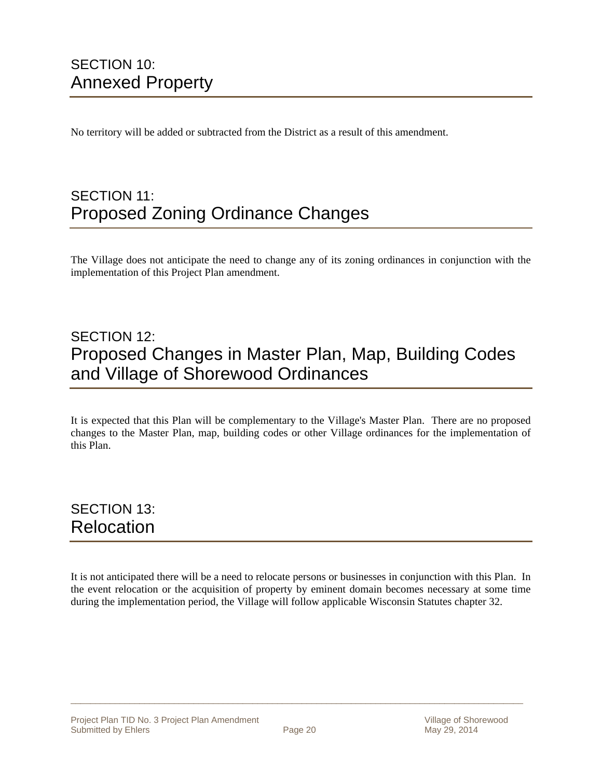### SECTION 10: Annexed Property

No territory will be added or subtracted from the District as a result of this amendment.

### SECTION 11: Proposed Zoning Ordinance Changes

The Village does not anticipate the need to change any of its zoning ordinances in conjunction with the implementation of this Project Plan amendment.

### SECTION 12: Proposed Changes in Master Plan, Map, Building Codes and Village of Shorewood Ordinances

It is expected that this Plan will be complementary to the Village's Master Plan. There are no proposed changes to the Master Plan, map, building codes or other Village ordinances for the implementation of this Plan.

### SECTION 13: Relocation

It is not anticipated there will be a need to relocate persons or businesses in conjunction with this Plan. In the event relocation or the acquisition of property by eminent domain becomes necessary at some time during the implementation period, the Village will follow applicable Wisconsin Statutes chapter 32.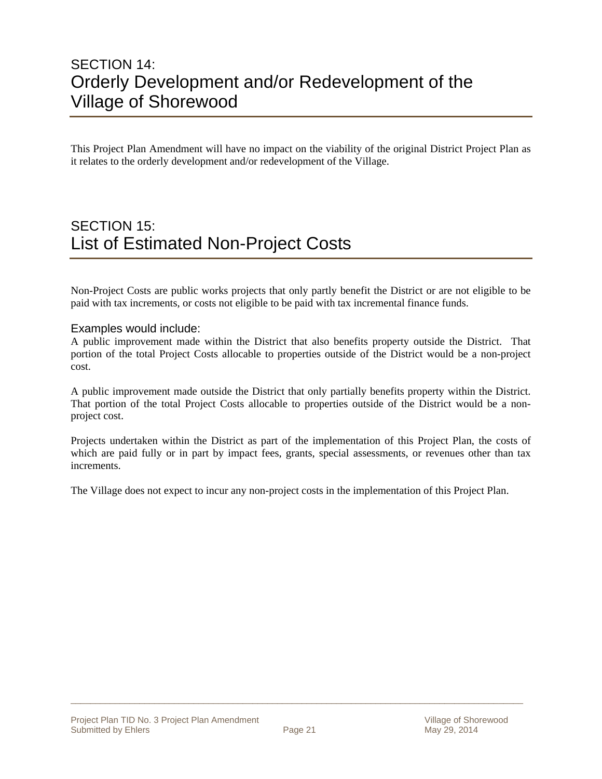### SECTION 14: Orderly Development and/or Redevelopment of the Village of Shorewood

This Project Plan Amendment will have no impact on the viability of the original District Project Plan as it relates to the orderly development and/or redevelopment of the Village.

### SECTION 15: List of Estimated Non-Project Costs

Non-Project Costs are public works projects that only partly benefit the District or are not eligible to be paid with tax increments, or costs not eligible to be paid with tax incremental finance funds.

#### Examples would include:

A public improvement made within the District that also benefits property outside the District. That portion of the total Project Costs allocable to properties outside of the District would be a non-project cost.

A public improvement made outside the District that only partially benefits property within the District. That portion of the total Project Costs allocable to properties outside of the District would be a nonproject cost.

Projects undertaken within the District as part of the implementation of this Project Plan, the costs of which are paid fully or in part by impact fees, grants, special assessments, or revenues other than tax increments.

The Village does not expect to incur any non-project costs in the implementation of this Project Plan.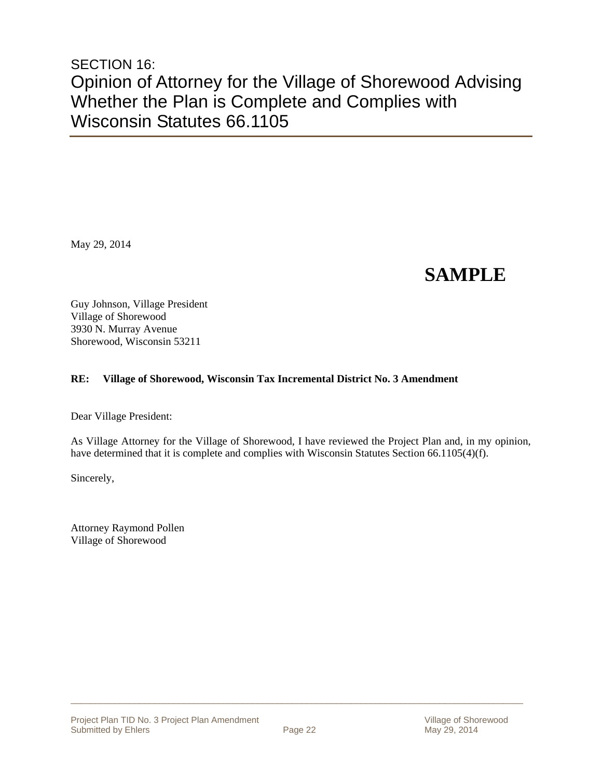### SECTION 16: Opinion of Attorney for the Village of Shorewood Advising Whether the Plan is Complete and Complies with Wisconsin Statutes 66.1105

May 29, 2014

# **SAMPLE**

Guy Johnson, Village President Village of Shorewood 3930 N. Murray Avenue Shorewood, Wisconsin 53211

#### **RE: Village of Shorewood, Wisconsin Tax Incremental District No. 3 Amendment**

Dear Village President:

As Village Attorney for the Village of Shorewood, I have reviewed the Project Plan and, in my opinion, have determined that it is complete and complies with Wisconsin Statutes Section 66.1105(4)(f).

Sincerely,

Attorney Raymond Pollen Village of Shorewood